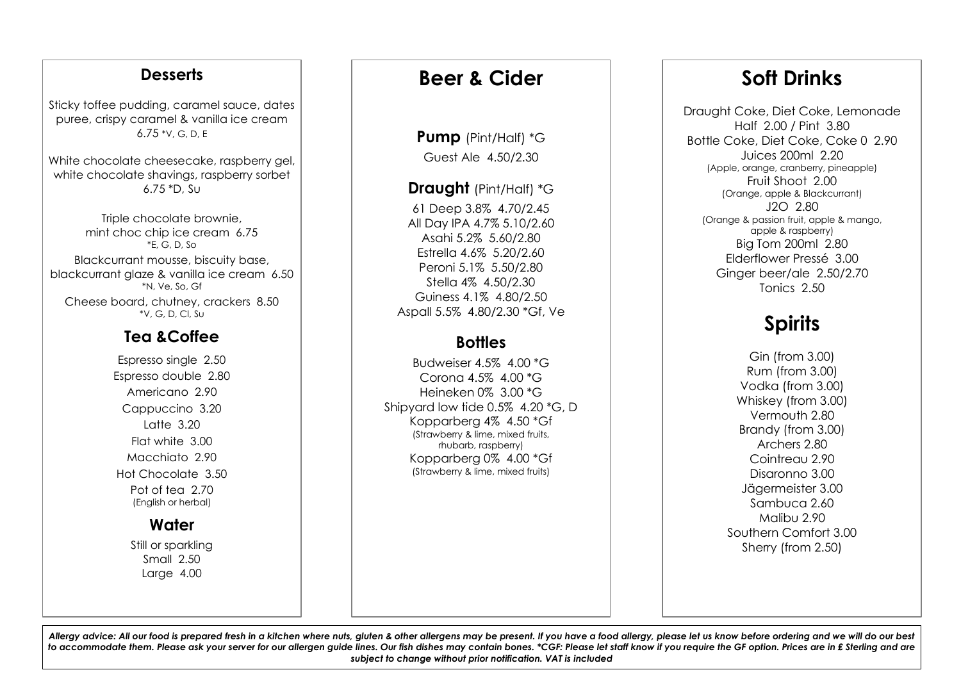### **Desserts**

Sticky toffee pudding, caramel sauce, dates puree, crispy caramel & vanilla ice cream 6.75 \*V, G, D, E

White chocolate cheesecake, raspberry gel, white chocolate shavings, raspberry sorbet 6.75 \*D, Su

Triple chocolate brownie, mint choc chip ice cream 6.75 \*E, G, D, So Blackcurrant mousse, biscuity base, blackcurrant glaze & vanilla ice cream 6.50 \*N, Ve, So, Gf Cheese board, chutney, crackers 8.50 \*V, G, D, Cl, Su

## **Tea &Coffee**

Espresso single 2.50 Espresso double 2.80 Americano 2.90 Cappuccino 3.20 Latte 3.20 Flat white 3.00 Macchiato 2.90 Hot Chocolate 3.50 Pot of tea 2.70 (English or herbal)

## **Water**

Still or sparkling Small 2.50 Large 4.00

# **Beer & Cider**

**Pump** (Pint/Half) \*G Guest Ale 4.50/2.30

### **Draught** (Pint/Half) \*G

61 Deep 3.8% 4.70/2.45 All Day IPA 4.7% 5.10/2.60 Asahi 5.2% 5.60/2.80 Estrella 4.6% 5.20/2.60 Peroni 5.1% 5.50/2.80 Stella 4% 4.50/2.30 Guiness 4.1% 4.80/2.50 Aspall 5.5% 4.80/2.30 \*Gf, Ve

## **Bottles**

Budweiser  $4.5\%$   $4.00\text{ }^{\ast}$ G Corona 4.5% 4.00 \*G Heineken 0% 3.00 \*G Shipyard low tide 0.5% 4.20 \*G, D Kopparberg 4% 4.50 \*Gf (Strawberry & lime, mixed fruits, rhubarb, raspberry) Kopparberg 0% 4.00 \*Gf (Strawberry & lime, mixed fruits)

# **Soft Drinks**

Draught Coke, Diet Coke, Lemonade Half 2.00 / Pint 3.80 Bottle Coke, Diet Coke, Coke 0 2.90 Juices 200ml 2.20 (Apple, orange, cranberry, pineapple) Fruit Shoot 2.00 (Orange, apple & Blackcurrant)  $120.280$ (Orange & passion fruit, apple & mango, apple & raspberry) Big Tom 200ml 2.80 Elderflower Pressé 3.00 Ginger beer/ale 2.50/2.70 Tonics 2.50

# **Spirits**

Gin (from 3.00) Rum (from 3.00) Vodka (from 3.00) Whiskey (from 3.00) Vermouth 2.80 Brandy (from 3.00) Archers 2.80 Cointreau 2.90 Disaronno 3.00 Jägermeister 3.00 Sambuca 2.60 Malibu 2.90 Southern Comfort 3.00 Sherry (from 2.50)

Allergy advice: All our food is prepared fresh in a kitchen where nuts, gluten & other allergens may be present. If you have a food allergy, please let us know before ordering and we will do our best to accommodate them. Please ask your server for our allergen guide lines. Our fish dishes may contain bones. \*CGF: Please let staff know if you require the GF option. Prices are in £ Sterling and are *subject to change without prior notification. VAT is included*